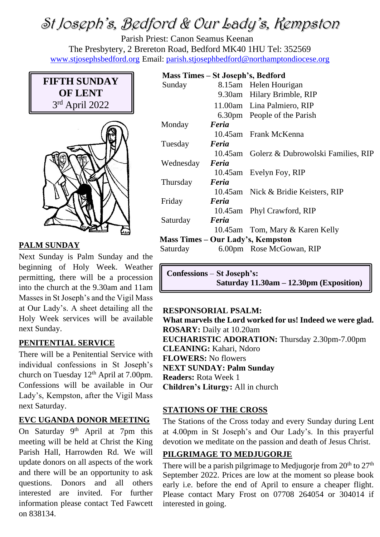# St Joseph's, Bedford & Our Lady's, Kempston

Parish Priest: Canon Seamus Keenan The Presbytery, 2 Brereton Road, Bedford MK40 1HU Tel: 352569 [www.stjosephsbedford.org](http://www.stjosephsbedford.org/) Email: [parish.stjosephbedford@northamptondiocese.org](mailto:parish.stjosephbedford@northamptondiocese.org)

## **FIFTH SUNDAY OF LENT** 3 rd April 2022



#### **PALM SUNDAY**

Next Sunday is Palm Sunday and the beginning of Holy Week. Weather permitting, there will be a procession into the church at the 9.30am and 11am Masses in St Joseph's and the Vigil Mass at Our Lady's. A sheet detailing all the Holy Week services will be available next Sunday.

#### **PENITENTIAL SERVICE**

There will be a Penitential Service with individual confessions in St Joseph's church on Tuesday 12<sup>th</sup> April at 7.00pm. Confessions will be available in Our Lady's, Kempston, after the Vigil Mass next Saturday.

## **EVC UGANDA DONOR MEETING**

On Saturday 9<sup>th</sup> April at 7pm this meeting will be held at Christ the King Parish Hall, Harrowden Rd. We will update donors on all aspects of the work and there will be an opportunity to ask questions. Donors and all others interested are invited. For further information please contact Ted Fawcett on 838134.

#### **Mass Times – St Joseph's, Bedford**

| Sunday    |       | 8.15am Helen Hourigan                      |
|-----------|-------|--------------------------------------------|
|           |       | 9.30am Hilary Brimble, RIP                 |
|           |       | 11.00am Lina Palmiero, RIP                 |
|           |       | 6.30pm People of the Parish                |
| Monday    | Feria |                                            |
|           |       | 10.45am Frank McKenna                      |
| Tuesday   | Feria |                                            |
|           |       | 10.45am Golerz & Dubrowolski Families, RIP |
| Wednesday | Feria |                                            |
|           |       | 10.45am Evelyn Foy, RIP                    |
| Thursday  | Feria |                                            |
|           |       | 10.45am Nick & Bridie Keisters, RIP        |
| Friday    | Feria |                                            |
|           |       | 10.45am Phyl Crawford, RIP                 |
| Saturday  | Feria |                                            |
|           |       | 10.45am Tom, Mary & Karen Kelly            |
|           |       | Mass Times – Our Lady's, Kempston          |
| Saturday  |       | 6.00pm Rose McGowan, RIP                   |
|           |       |                                            |

**Confessions** – **St Joseph's: Saturday 11.30am – 12.30pm (Exposition)**

#### **RESPONSORIAL PSALM:**

**What marvels the Lord worked for us! Indeed we were glad. ROSARY:** Daily at 10.20am **EUCHARISTIC ADORATION:** Thursday 2.30pm-7.00pm **CLEANING:** Kahari, Ndoro **FLOWERS:** No flowers **NEXT SUNDAY: Palm Sunday Readers:** Rota Week 1 **Children's Liturgy:** All in church

#### **STATIONS OF THE CROSS**

The Stations of the Cross today and every Sunday during Lent at 4.00pm in St Joseph's and Our Lady's. In this prayerful devotion we meditate on the passion and death of Jesus Christ.

#### **PILGRIMAGE TO MEDJUGORJE**

There will be a parish pilgrimage to Medjugorje from  $20<sup>th</sup>$  to  $27<sup>th</sup>$ September 2022. Prices are low at the moment so please book early i.e. before the end of April to ensure a cheaper flight. Please contact Mary Frost on 07708 264054 or 304014 if interested in going.